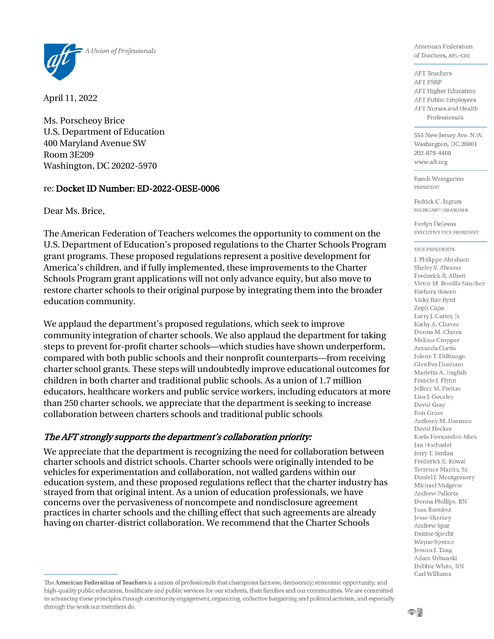

April 11, 2022

Ms. Porscheoy Brice U.S. Department of Education 400 Maryland Avenue SW Room 3E209 Washington, DC 20202-5970

#### re: Docket ID Number: ED-2022-OESE-0006

Dear Ms. Brice,

The American Federation of Teachers welcomes the opportunity to comment on the U.S. Department of Education's proposed regulations to the Charter Schools Program grant programs. These proposed regulations represent a positive development for America's children, and if fully implemented, these improvements to the Charter Schools Program grant applications will not only advance equity, but also move to restore charter schools to their original purpose by integrating them into the broader education community.

We applaud the department's proposed regulations, which seek to improve community integration of charter schools. We also applaud the department for taking steps to prevent for-profit charter schools—which studies have shown underperform, compared with both public schools and their nonprofit counterparts—from receiving charter school grants. These steps will undoubtedly improve educational outcomes for children in both charter and traditional public schools. As a union of 1.7 million educators, healthcare workers and public service workers, including educators at more than 250 charter schools, we appreciate that the department is seeking to increase collaboration between charters schools and traditional public schools

#### The AFT strongly supports the department's collaboration priority:

We appreciate that the department is recognizing the need for collaboration between charter schools and district schools. Charter schools were originally intended to be vehicles for experimentation and collaboration, not walled gardens within our education system, and these proposed regulations reflect that the charter industry has strayed from that original intent. As a union of education professionals, we have concerns over the pervasiveness of noncompete and nondisclosure agreement practices in charter schools and the chilling effect that such agreements are already having on charter-district collaboration. We recommend that the Charter Schools

American Federation of Teachers, AFL-CIO

**AFT** Teachers **AFT PSRP AFT Higher Education AFT Public Employees AFT Nurses and Health** Professionals

555 New Jersey Ave. N.W. Washington, DC 20001 202-879-4400 www.aft.org

Randi Weingarten **PRESIDENT** 

Fedrick C. Ingram SECRETARY-TREASURER

Evelyn DeJesus EXECUTIVE VICE PRESIDENT

#### **VICE PRESIDENTS**

J. Philippe Abraham Shelvy Y. Abrams Frederick R. Albert Victor M. Bonilla Sánchez Barbara Bowen Vicky Rae Byrd Zeph Capo Larry J. Carter, Jr. Kathy A. Chavez Donna M. Chiera Melissa Cropper Amanda Curtis Jolene T. DiBrango GlenEva Dunham Marietta A. English Francis J. Flynn Jeffery M. Freitas Lisa J. Gourley David Gray **Ron Gross** Anthony M. Harmon David Hecker Karla Hernandez-Mats Jan Hochadel Jerry T. Jordan Frederick E. Kowal Terrence Martin, Sr. Daniel J. Montgomery Michael Mulgrew Andrew Pallotta Donna Phillips, RN Juan Ramirez Jesse Sharkey Andrew Spar Denise Specht Wayne Spence Jessica J. Tang Adam Urbanski Debbie White, RN Carl Williams

The American Federation of Teachers is a union of professionals that champions fairness; democracy; economic opportunity; and high-quality public education, healthcare and public services for our students, their families and our communities. We are committed to advancing these principles through community engagement, organizing, collective bargaining and political activism, and especially through the work our members do.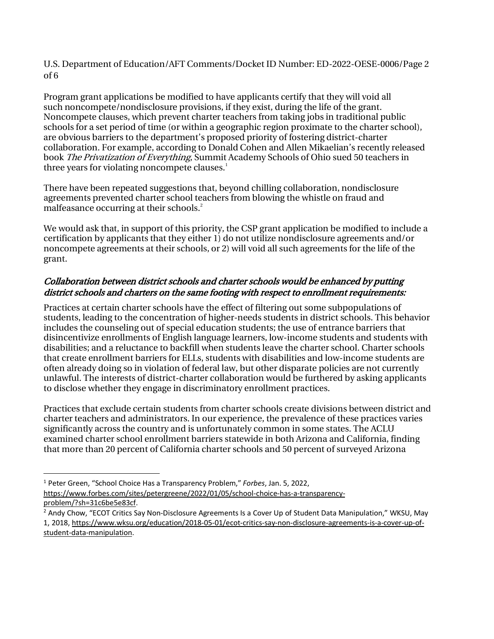U.S. Department of Education/AFT Comments/Docket ID Number: ED-2022-OESE-0006/Page 2 of 6

Program grant applications be modified to have applicants certify that they will void all such noncompete/nondisclosure provisions, if they exist, during the life of the grant. Noncompete clauses, which prevent charter teachers from taking jobs in traditional public schools for a set period of time (or within a geographic region proximate to the charter school), are obvious barriers to the department's proposed priority of fostering district-charter collaboration. For example, according to Donald Cohen and Allen Mikaelian's recently released book The Privatization of Everything, Summit Academy Schools of Ohio sued 50 teachers in three years for violating noncompete clauses.<sup>1</sup>

There have been repeated suggestions that, beyond chilling collaboration, nondisclosure agreements prevented charter school teachers from blowing the whistle on fraud and malfeasance occurring at their schools.<sup>2</sup>

We would ask that, in support of this priority, the CSP grant application be modified to include a certification by applicants that they either 1) do not utilize nondisclosure agreements and/or noncompete agreements at their schools, or 2) will void all such agreements for the life of the grant.

## Collaboration between district schools and charter schools would be enhanced by putting district schools and charters on the same footing with respect to enrollment requirements:

Practices at certain charter schools have the effect of filtering out some subpopulations of students, leading to the concentration of higher-needs students in district schools. This behavior includes the counseling out of special education students; the use of entrance barriers that disincentivize enrollments of English language learners, low-income students and students with disabilities; and a reluctance to backfill when students leave the charter school. Charter schools that create enrollment barriers for ELLs, students with disabilities and low-income students are often already doing so in violation of federal law, but other disparate policies are not currently unlawful. The interests of district-charter collaboration would be furthered by asking applicants to disclose whether they engage in discriminatory enrollment practices.

Practices that exclude certain students from charter schools create divisions between district and charter teachers and administrators. In our experience, the prevalence of these practices varies significantly across the country and is unfortunately common in some states. The ACLU examined charter school enrollment barriers statewide in both Arizona and California, finding that more than 20 percent of California charter schools and 50 percent of surveyed Arizona

[problem/?sh=31c6be5e83cf.](https://www.forbes.com/sites/petergreene/2022/01/05/school-choice-has-a-transparency-problem/?sh=31c6be5e83cf)

<span id="page-1-0"></span><sup>1</sup> Peter Green, "School Choice Has a Transparency Problem," *Forbes*, Jan. 5, 2022, [https://www.forbes.com/sites/petergreene/2022/01/05/school-choice-has-a-transparency-](https://www.forbes.com/sites/petergreene/2022/01/05/school-choice-has-a-transparency-problem/?sh=31c6be5e83cf)

<span id="page-1-1"></span><sup>&</sup>lt;sup>2</sup> Andy Chow, "ECOT Critics Say Non-Disclosure Agreements Is a Cover Up of Student Data Manipulation," WKSU, May 1, 2018, [https://www.wksu.org/education/2018-05-01/ecot-critics-say-non-disclosure-agreements-is-a-cover-up-of](https://www.wksu.org/education/2018-05-01/ecot-critics-say-non-disclosure-agreements-is-a-cover-up-of-student-data-manipulation)[student-data-manipulation.](https://www.wksu.org/education/2018-05-01/ecot-critics-say-non-disclosure-agreements-is-a-cover-up-of-student-data-manipulation)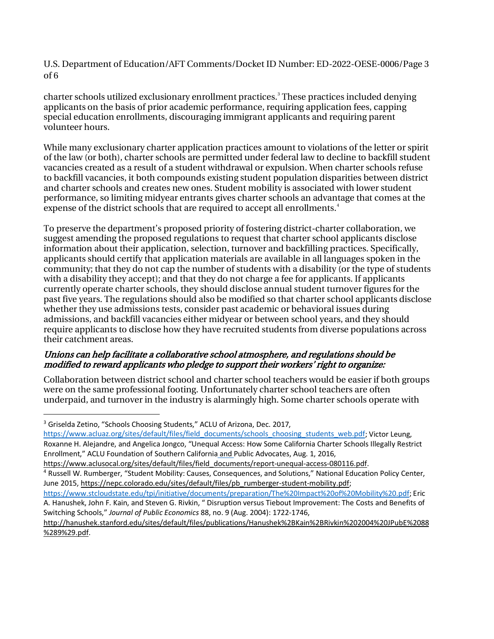U.S. Department of Education/AFT Comments/Docket ID Number: ED-2022-OESE-0006/Page 3 of 6

charter schools utilized exclusionary enrollment practices.<sup>[3](#page-2-0)</sup> These practices included denying applicants on the basis of prior academic performance, requiring application fees, capping special education enrollments, discouraging immigrant applicants and requiring parent volunteer hours.

While many exclusionary charter application practices amount to violations of the letter or spirit of the law (or both), charter schools are permitted under federal law to decline to backfill student vacancies created as a result of a student withdrawal or expulsion. When charter schools refuse to backfill vacancies, it both compounds existing student population disparities between district and charter schools and creates new ones. Student mobility is associated with lower student performance, so limiting midyear entrants gives charter schools an advantage that comes at the expense of the district schools that are required to accept all enrollments.<sup>[4](#page-2-1)</sup>

To preserve the department's proposed priority of fostering district-charter collaboration, we suggest amending the proposed regulations to request that charter school applicants disclose information about their application, selection, turnover and backfilling practices. Specifically, applicants should certify that application materials are available in all languages spoken in the community; that they do not cap the number of students with a disability (or the type of students with a disability they accept); and that they do not charge a fee for applicants. If applicants currently operate charter schools, they should disclose annual student turnover figures for the past five years. The regulations should also be modified so that charter school applicants disclose whether they use admissions tests, consider past academic or behavioral issues during admissions, and backfill vacancies either midyear or between school years, and they should require applicants to disclose how they have recruited students from diverse populations across their catchment areas.

## Unions can help facilitate a collaborative school atmosphere, and regulations should be modified to reward applicants who pledge to support their workers' right to organize:

Collaboration between district school and charter school teachers would be easier if both groups were on the same professional footing. Unfortunately charter school teachers are often underpaid, and turnover in the industry is alarmingly high. Some charter schools operate with

<span id="page-2-0"></span><sup>&</sup>lt;sup>3</sup> Griselda Zetino, "Schools Choosing Students," ACLU of Arizona, Dec. 2017,

[https://www.acluaz.org/sites/default/files/field\\_documents/schools\\_choosing\\_students\\_web.pdf;](https://www.acluaz.org/sites/default/files/field_documents/schools_choosing_students_web.pdf) Victor Leung, Roxanne H. Alejandre, and Angelica Jongco, "Unequal Access: How Some California Charter Schools Illegally Restrict Enrollment," ACLU Foundation of Southern California and Public Advocates, Aug. 1, 2016,

[https://www.aclusocal.org/sites/default/files/field\\_documents/report-unequal-access-080116.pdf.](https://www.aclusocal.org/sites/default/files/field_documents/report-unequal-access-080116.pdf) <sup>4</sup> Russell W. Rumberger, "Student Mobility: Causes, Consequences, and Solutions," National Education Policy Center,

<span id="page-2-1"></span>June 2015, [https://nepc.colorado.edu/sites/default/files/pb\\_rumberger-student-mobility.pdf;](https://nepc.colorado.edu/sites/default/files/pb_rumberger-student-mobility.pdf)

[https://www.stcloudstate.edu/tpi/initiative/documents/preparation/The%20Impact%20of%20Mobility%20.pdf;](https://www.stcloudstate.edu/tpi/initiative/documents/preparation/The%2520Impact%2520of%2520Mobility%2520.pdf) Eric A. Hanushek, John F. Kain, and Steven G. Rivkin, " Disruption versus Tiebout Improvement: The Costs and Benefits of Switching Schools," *Journal of Public Economics* 88, no. 9 (Aug. 2004): 1722-1746,

[http://hanushek.stanford.edu/sites/default/files/publications/Hanushek%2BKain%2BRivkin%202004%20JPubE%2088](http://hanushek.stanford.edu/sites/default/files/publications/Hanushek%2BKain%2BRivkin%202004%20JPubE%2088%289%29.pdf) [%289%29.pdf.](http://hanushek.stanford.edu/sites/default/files/publications/Hanushek%2BKain%2BRivkin%202004%20JPubE%2088%289%29.pdf)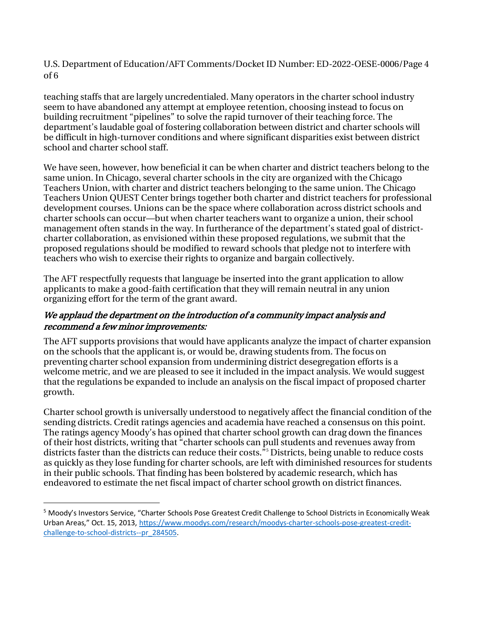U.S. Department of Education/AFT Comments/Docket ID Number: ED-2022-OESE-0006/Page 4 of 6

teaching staffs that are largely uncredentialed. Many operators in the charter school industry seem to have abandoned any attempt at employee retention, choosing instead to focus on building recruitment "pipelines" to solve the rapid turnover of their teaching force. The department's laudable goal of fostering collaboration between district and charter schools will be difficult in high-turnover conditions and where significant disparities exist between district school and charter school staff.

We have seen, however, how beneficial it can be when charter and district teachers belong to the same union. In Chicago, several charter schools in the city are organized with the Chicago Teachers Union, with charter and district teachers belonging to the same union. The Chicago Teachers Union QUEST Center brings together both charter and district teachers for professional development courses. Unions can be the space where collaboration across district schools and charter schools can occur—but when charter teachers want to organize a union, their school management often stands in the way. In furtherance of the department's stated goal of districtcharter collaboration, as envisioned within these proposed regulations, we submit that the proposed regulations should be modified to reward schools that pledge not to interfere with teachers who wish to exercise their rights to organize and bargain collectively.

The AFT respectfully requests that language be inserted into the grant application to allow applicants to make a good-faith certification that they will remain neutral in any union organizing effort for the term of the grant award.

## We applaud the department on the introduction of a community impact analysis and recommend a few minor improvements:

The AFT supports provisions that would have applicants analyze the impact of charter expansion on the schools that the applicant is, or would be, drawing students from. The focus on preventing charter school expansion from undermining district desegregation efforts is a welcome metric, and we are pleased to see it included in the impact analysis. We would suggest that the regulations be expanded to include an analysis on the fiscal impact of proposed charter growth.

Charter school growth is universally understood to negatively affect the financial condition of the sending districts. Credit ratings agencies and academia have reached a consensus on this point. The ratings agency Moody's has opined that charter school growth can drag down the finances of their host districts, writing that "charter schools can pull students and revenues away from districts faster than the districts can reduce their costs.<sup>[5](#page-3-0)5</sup> Districts, being unable to reduce costs as quickly as they lose funding for charter schools, are left with diminished resources for students in their public schools. That finding has been bolstered by academic research, which has endeavored to estimate the net fiscal impact of charter school growth on district finances.

<span id="page-3-0"></span><sup>5</sup> Moody's Investors Service, "Charter Schools Pose Greatest Credit Challenge to School Districts in Economically Weak Urban Areas," Oct. 15, 2013, [https://www.moodys.com/research/moodys-charter-schools-pose-greatest-credit](https://www.moodys.com/research/moodys-charter-schools-pose-greatest-credit-challenge-to-school-districts--pr_284505)[challenge-to-school-districts--pr\\_284505.](https://www.moodys.com/research/moodys-charter-schools-pose-greatest-credit-challenge-to-school-districts--pr_284505)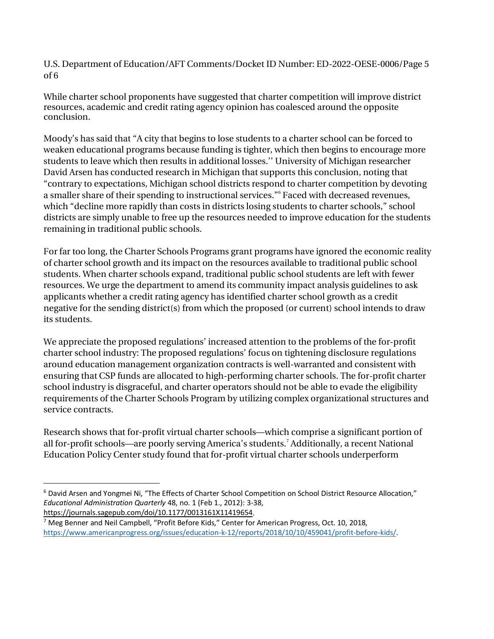U.S. Department of Education/AFT Comments/Docket ID Number: ED-2022-OESE-0006/Page 5 of 6

While charter school proponents have suggested that charter competition will improve district resources, academic and credit rating agency opinion has coalesced around the opposite conclusion.

Moody's has said that "A city that begins to lose students to a charter school can be forced to weaken educational programs because funding is tighter, which then begins to encourage more students to leave which then results in additional losses.'' University of Michigan researcher David Arsen has conducted research in Michigan that supports this conclusion, noting that "contrary to expectations, Michigan school districts respond to charter competition by devoting a smaller share of their spending to instructional services."<sup>[6](#page-4-0)</sup> Faced with decreased revenues, which "decline more rapidly than costs in districts losing students to charter schools," school districts are simply unable to free up the resources needed to improve education for the students remaining in traditional public schools.

For far too long, the Charter Schools Programs grant programs have ignored the economic reality of charter school growth and its impact on the resources available to traditional public school students. When charter schools expand, traditional public school students are left with fewer resources. We urge the department to amend its community impact analysis guidelines to ask applicants whether a credit rating agency has identified charter school growth as a credit negative for the sending district(s) from which the proposed (or current) school intends to draw its students.

We appreciate the proposed regulations' increased attention to the problems of the for-profit charter school industry: The proposed regulations' focus on tightening disclosure regulations around education management organization contracts is well-warranted and consistent with ensuring that CSP funds are allocated to high-performing charter schools. The for-profit charter school industry is disgraceful, and charter operators should not be able to evade the eligibility requirements of the Charter Schools Program by utilizing complex organizational structures and service contracts.

Research shows that for-profit virtual charter schools—which comprise a significant portion of all for-profit schools—are poorly serving America's students.<sup>[7](#page-4-1)</sup> Additionally, a recent National Education Policy Center study found that for-profit virtual charter schools underperform

<span id="page-4-0"></span><sup>6</sup> David Arsen and Yongmei Ni, "The Effects of Charter School Competition on School District Resource Allocation," *Educational Administration Quarterly* 48, no. 1 (Feb 1., 2012): 3-38, [https://journals.sagepub.com/doi/10.1177/0013161X11419654.](https://journals.sagepub.com/doi/10.1177/0013161X11419654)

<span id="page-4-1"></span> $7$  Meg Benner and Neil Campbell, "Profit Before Kids," Center for American Progress, Oct. 10, 2018, [https://www.americanprogress.org/issues/education-k-12/reports/2018/10/10/459041/profit-before-kids/.](https://www.americanprogress.org/issues/education-k-12/reports/2018/10/10/459041/profit-before-kids/)